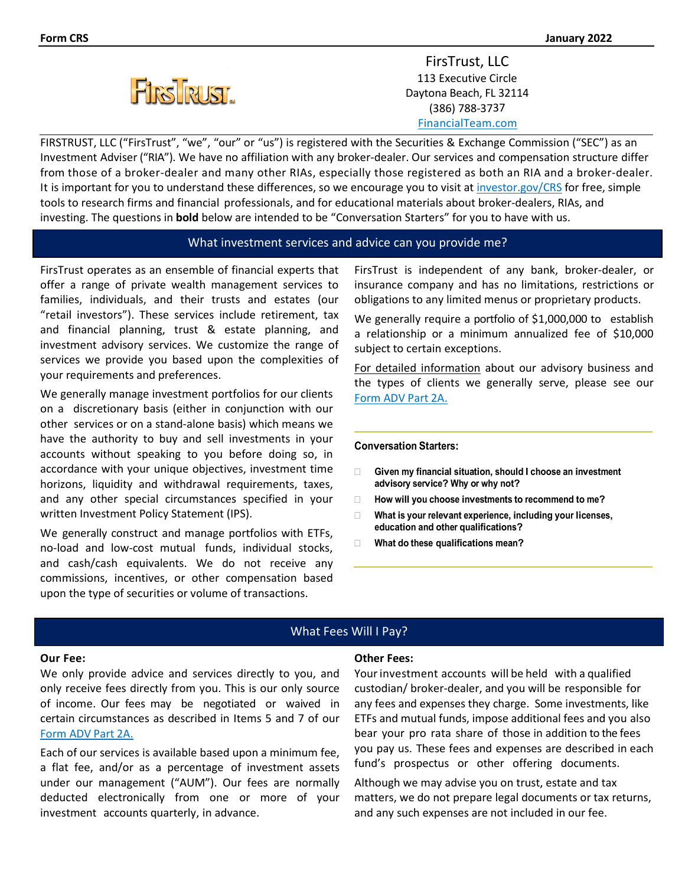

FirsTrust, LLC 113 Executive Circle Daytona Beach, FL 32114 (386) 788-3737 [FinancialTeam.com](http://www.financialteam.com/)

FIRSTRUST, LLC ("FirsTrust", "we", "our" or "us") is registered with the Securities & Exchange Commission ("SEC") as an Investment Adviser ("RIA"). We have no affiliation with any broker-dealer. Our services and compensation structure differ from those of a broker-dealer and many other RIAs, especially those registered as both an RIA and a broker-dealer. It is important for you to understand these differences, so we encourage you to visit at [investor.gov/CRS](http://www.investor.gov/CRS) for free, simple tools to research firms and financial professionals, and for educational materials about broker-dealers, RIAs, and investing. The questions in **bold** below are intended to be "Conversation Starters" for you to have with us.

### What investment services and advice can you provide me?

FirsTrust operates as an ensemble of financial experts that offer a range of private wealth management services to families, individuals, and their trusts and estates (our "retail investors"). These services include retirement, tax and financial planning, trust & estate planning, and investment advisory services. We customize the range of services we provide you based upon the complexities of your requirements and preferences.

We generally manage investment portfolios for our clients on a discretionary basis (either in conjunction with our other services or on a stand-alone basis) which means we have the authority to buy and sell investments in your accounts without speaking to you before doing so, in accordance with your unique objectives, investment time horizons, liquidity and withdrawal requirements, taxes, and any other special circumstances specified in your written Investment Policy Statement (IPS).

We generally construct and manage portfolios with ETFs, no-load and low-cost mutual funds, individual stocks, and cash/cash equivalents. We do not receive any commissions, incentives, or other compensation based upon the type of securities or volume of transactions.

FirsTrust is independent of any bank, broker-dealer, or insurance company and has no limitations, restrictions or obligations to any limited menus or proprietary products.

We generally require a portfolio of \$1,000,000 to establish a relationship or a minimum annualized fee of \$10,000 subject to certain exceptions.

For detailed information about our advisory business and the types of clients we generally serve, please see our Form ADV [Part 2A.](https://files.adviserinfo.sec.gov/IAPD/Content/Common/crd_iapd_Brochure.aspx?BRCHR_VRSN_ID=640751)

### **Conversation Starters:**

- **Given my financial situation, should I choose an investment advisory service? Why or why not?**
- **How will you choose investments to recommend to me?**
- **What is your relevant experience, including your licenses, education and other qualifications?**
- **What do these qualifications mean?**

## What Fees Will I Pay?

### **Our Fee:**

We only provide advice and services directly to you, and only receive fees directly from you. This is our only source of income. Our fees may be negotiated or waived in certain circumstances as described in Items 5 and 7 of our Form ADV [Part 2A.](https://files.adviserinfo.sec.gov/IAPD/Content/Common/crd_iapd_Brochure.aspx?BRCHR_VRSN_ID=640751)

Each of our services is available based upon a minimum fee, a flat fee, and/or as a percentage of investment assets under our management ("AUM"). Our fees are normally deducted electronically from one or more of your investment accounts quarterly, in advance.

### **Other Fees:**

Yourinvestment accounts will be held with a qualified custodian/ broker-dealer, and you will be responsible for any fees and expenses they charge. Some investments, like ETFs and mutual funds, impose additional fees and you also bear your pro rata share of those in addition to the fees you pay us. These fees and expenses are described in each fund's prospectus or other offering documents.

Although we may advise you on trust, estate and tax matters, we do not prepare legal documents or tax returns, and any such expenses are not included in our fee.